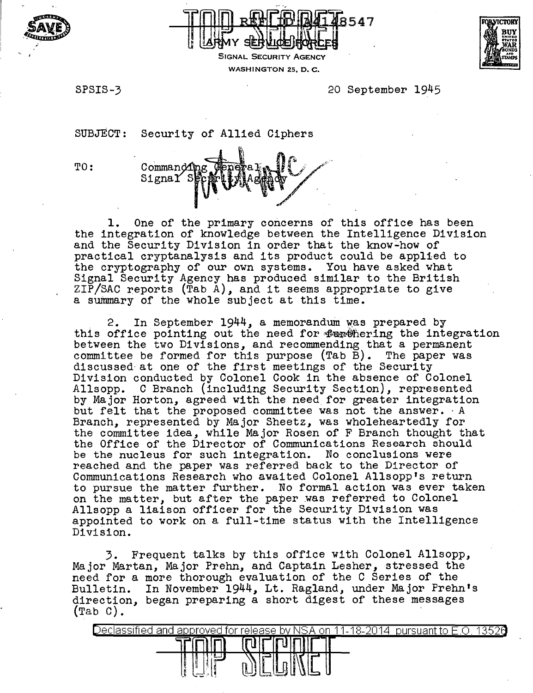



SIGNAL SECURITY AGENCY WASHINGTON 25, D. C.



SPSIS-3 20 September 1945

SUBJECT: Security of Allied Ciphers

TO: Command1 SignaY S  $\mathscr{E}$  .

1. One of the primary concerns of this office has been the integration of knowledge between the Intelligence Division and the Security Division in order that the know~how of practical cryptanalysis and its product could be applied to the cryptography of our own systems. You have asked what Signal Security Agency has produced similar to the British ZIP/SAC reports (Tab A), and it seems appropriate to give a summary of the whole subject at this time.

2. In September 1944, a memorandum was prepared by this office pointing out the need for **furthering the integration** between the two Divisions, and recommending that a permanent committee be formed for this purpose (Tab B). The paper was discussed· at one of the first meetings of the Security Division conducted by Colonel Cook in the absence of Colonel<br>Allsopp. C Branch (including Security Section), represented by Major Horton, agreed with the need for greater integration but felt that the proposed committee was not the answer. ·A Branch, represented by Major Sheetz, was wholeheartedly for the committee idea, while Major Rosen of F Branch thought that the Office of the Director of Communications Research should be the nucleus for such integration. No conclusions were reached and the paper was referred back to the Director of Communications Research who awaited Colonel Allsopp's return to pursue the matter further. No formal action was ever taken on the matter, but after the paper was referred to Colonel Allsopp a liaison officer for the Security Division was appointed to work on a full-time status with the Intelligence Division.

3. Frequent talks by this office with Colonel Allsopp, Major Martan, Major Prehn, and Captain Lesher, stressed the need for a more thorough evaluation of the C Series of the Bulletin. In November 1944, Lt. Ragland, under Major Prehn's direction, began preparing a short digest of these messages  $(Tab C)$ .

| approved for release by<br>-and<br>eо<br>∽. | -NSA<br>.on<br>92.<br>- 1-<br>$\sim$ | 26<br>uant to k |
|---------------------------------------------|--------------------------------------|-----------------|
|                                             | U                                    |                 |
| ے :                                         |                                      |                 |
| ţ₿<br>-6<br>المستبد<br>۱ħ                   | ىسە                                  |                 |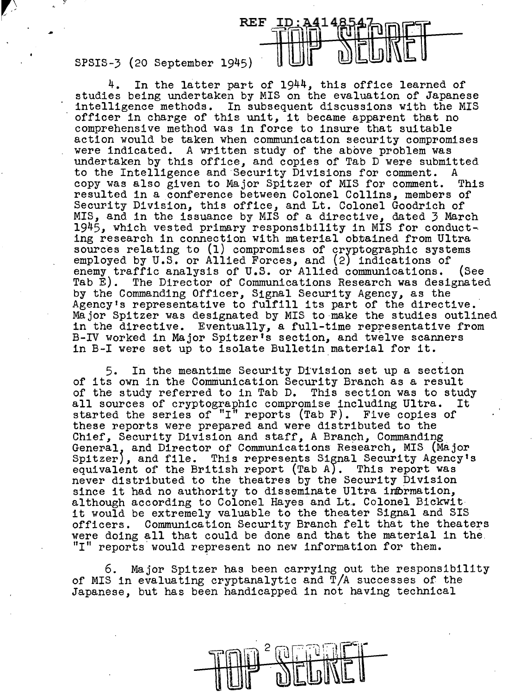SPSIS-3 (20 September 1945)

4. In the latter part of  $1944$ , this office learned of studies being undertaken by MIS on the evaluation of Japanese intelligence methods. In subsequent discussions with the MIS officer in charge of this unit, it became apparent that no comprehensive method was in force to insure that suitable action would be taken when communication security compromises were indicated. A written study of the above problem was undertaken by this office, and copies of Tab D were submitted to the Intelligence and Security Divisions for comment. A copy was also given to Major Spitzer of MIS for comment. This copy was also given to Major Spitzer of MIS for comment. resulted in a conference between Colonel Collins, members of Security Division, this office, and Lt. Colonel Goodrich of MIS, and in the issuance by MIS of a directive, dated 3 March 1945, which vested primary responsibility in MIS for conduct-. ing research in connection with material obtained from Ultra sources relating to (1) compromises of cryptographic systems employed by  $U.S.$  or Allied Forces, and  $(2)$  indications of enemy traffic analysis of  $U.S.$  or Allied communications. (See enemy traffic analysis of U.S. or Allied communications.<br>Tab E). The Director of Communications Research was desi The Director of Communications Research was designated by the Commanding Officer, Signal Security Agency, as the Agency's representative to fulfill its part of the directive. Major Spitzer was designated by MIS to make the studies outlined in the directive. Eventually, a full-time representative from B-IV worked in Major Spitzer's section, and twelve scanners in B-I were set up to isolate Bulletin material for it.

**REF ID: A4148** 

5. In the meantime Security Division set up a section of its own in the Comniunication Security Branch as a result of the study referred to in Tab D. This section was to study all sources of cryptographic compromise including Ultra. It started the series of "I" reports (Tab F). Five copies of these reports were prepared and were distributed to the Chief, Security Division and staff, A Branch, Commanding General, and Director of Communications Research, MIS (Major Spitzer), and file. This represents Signal Security Agency's equivalent of the British report (Tab *A*). This report was never distributed to the theatres by the Security Division since it had no authority to disseminate Ultra information, although according to Colonel Hayes and Lt. Colonel Bickwith it would be extremely valuable to the theater Signal and SIS officers. Communication Security Branch felt that the theaters were doing all that could be done and that the material in the. "I" reports' would represent no new information for them.

Major Spitzer has been carrying out the responsibility of MIS in evaluating cryptanalytic and T/A successes of the Japanese, but has been handicapped in not having technical